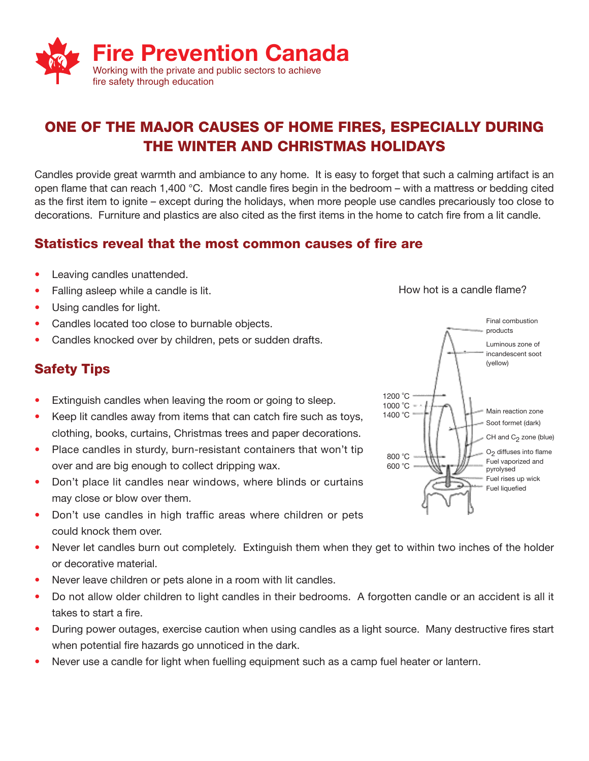

# **ONE OF THE MAJOR CAUSES OF HOME FIRES, ESPECIALLY DURING THE WINTER AND CHRISTMAS HOLIDAYS**

Candles provide great warmth and ambiance to any home. It is easy to forget that such a calming artifact is an open flame that can reach 1,400 °C. Most candle fires begin in the bedroom – with a mattress or bedding cited as the first item to ignite – except during the holidays, when more people use candles precariously too close to decorations. Furniture and plastics are also cited as the first items in the home to catch fire from a lit candle.

### **Statistics reveal that the most common causes of fire are**

- Leaving candles unattended.
- Falling asleep while a candle is lit.
- Using candles for light.
- Candles located too close to burnable objects.
- Candles knocked over by children, pets or sudden drafts.

## **Safety Tips**

- Extinguish candles when leaving the room or going to sleep.
- Keep lit candles away from items that can catch fire such as toys, clothing, books, curtains, Christmas trees and paper decorations.
- Place candles in sturdy, burn-resistant containers that won't tip over and are big enough to collect dripping wax.
- Don't place lit candles near windows, where blinds or curtains may close or blow over them.
- Don't use candles in high traffic areas where children or pets could knock them over.
- Never let candles burn out completely. Extinguish them when they get to within two inches of the holder or decorative material.
- Never leave children or pets alone in a room with lit candles.
- Do not allow older children to light candles in their bedrooms. A forgotten candle or an accident is all it takes to start a fire.
- During power outages, exercise caution when using candles as a light source. Many destructive fires start when potential fire hazards go unnoticed in the dark.
- Never use a candle for light when fuelling equipment such as a camp fuel heater or lantern.



How hot is a candle flame?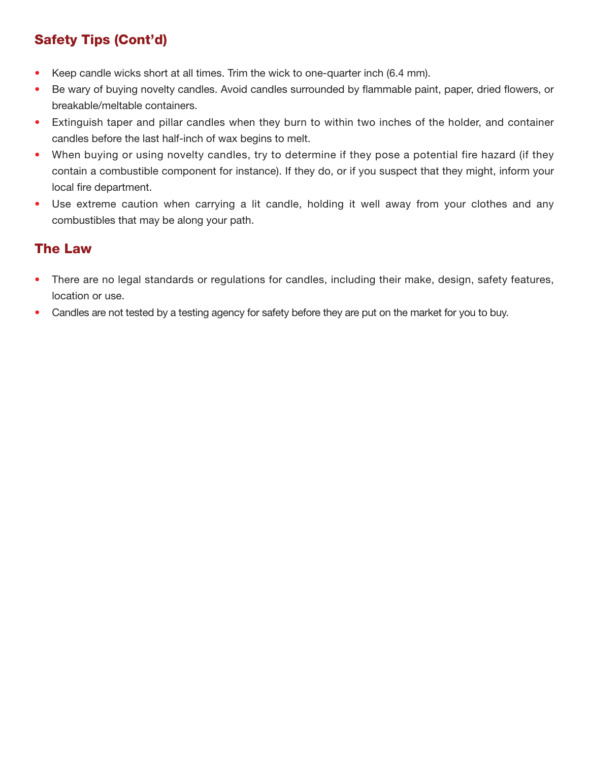# **Safety Tips (Cont'd)**

- Keep candle wicks short at all times. Trim the wick to one-quarter inch (6.4 mm).
- Be wary of buying novelty candles. Avoid candles surrounded by flammable paint, paper, dried flowers, or breakable/meltable containers.
- Extinguish taper and pillar candles when they burn to within two inches of the holder, and container candles before the last half-inch of wax begins to melt.
- When buying or using novelty candles, try to determine if they pose a potential fire hazard (if they contain a combustible component for instance). If they do, or if you suspect that they might, inform your local fire department.
- Use extreme caution when carrying a lit candle, holding it well away from your clothes and any combustibles that may be along your path.

## **The Law**

- There are no legal standards or regulations for candles, including their make, design, safety features, location or use.
- Candles are not tested by a testing agency for safety before they are put on the market for you to buy.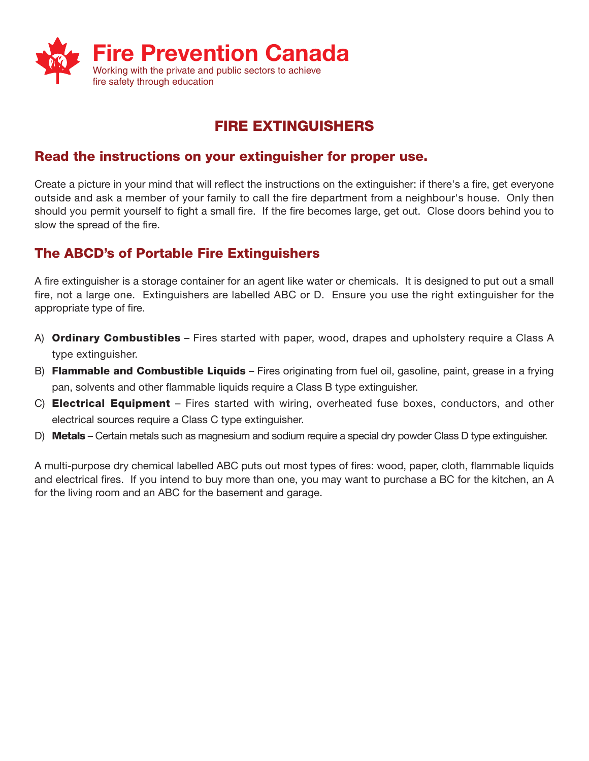

# **FIRE EXTINGUISHERS**

### **Read the instructions on your extinguisher for proper use.**

Create a picture in your mind that will reflect the instructions on the extinguisher: if there's a fire, get everyone outside and ask a member of your family to call the fire department from a neighbour's house. Only then should you permit yourself to fight a small fire. If the fire becomes large, get out. Close doors behind you to slow the spread of the fire.

### **The ABCD's of Portable Fire Extinguishers**

A fire extinguisher is a storage container for an agent like water or chemicals. It is designed to put out a small fire, not a large one. Extinguishers are labelled ABC or D. Ensure you use the right extinguisher for the appropriate type of fire.

- A) **Ordinary Combustibles** Fires started with paper, wood, drapes and upholstery require a Class A type extinguisher.
- B) **Flammable and Combustible Liquids** Fires originating from fuel oil, gasoline, paint, grease in a frying pan, solvents and other flammable liquids require a Class B type extinguisher.
- C) **Electrical Equipment** Fires started with wiring, overheated fuse boxes, conductors, and other electrical sources require a Class C type extinguisher.
- D) **Metals** Certain metals such as magnesium and sodium require a special dry powder Class D type extinguisher.

A multi-purpose dry chemical labelled ABC puts out most types of fires: wood, paper, cloth, flammable liquids and electrical fires. If you intend to buy more than one, you may want to purchase a BC for the kitchen, an A for the living room and an ABC for the basement and garage.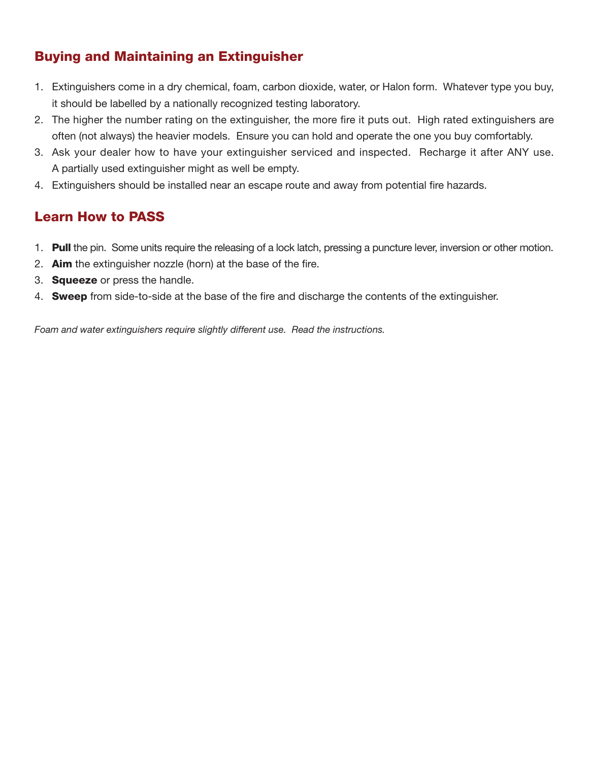## **Buying and Maintaining an Extinguisher**

- 1. Extinguishers come in a dry chemical, foam, carbon dioxide, water, or Halon form. Whatever type you buy, it should be labelled by a nationally recognized testing laboratory.
- 2. The higher the number rating on the extinguisher, the more fire it puts out. High rated extinguishers are often (not always) the heavier models. Ensure you can hold and operate the one you buy comfortably.
- 3. Ask your dealer how to have your extinguisher serviced and inspected. Recharge it after ANY use. A partially used extinguisher might as well be empty.
- 4. Extinguishers should be installed near an escape route and away from potential fire hazards.

## **Learn How to PASS**

- 1. **Pull** the pin. Some units require the releasing of a lock latch, pressing a puncture lever, inversion or other motion.
- 2. **Aim** the extinguisher nozzle (horn) at the base of the fire.
- 3. **Squeeze** or press the handle.
- 4. **Sweep** from side-to-side at the base of the fire and discharge the contents of the extinguisher.

*Foam and water extinguishers require slightly different use. Read the instructions.*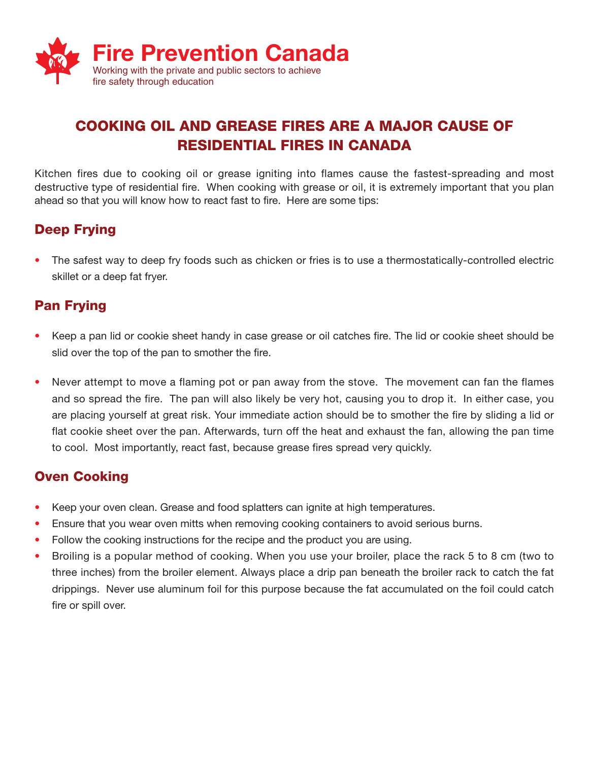

# **COOKING OIL AND GREASE FIRES ARE A MAJOR CAUSE OF RESIDENTIAL FIRES IN CANADA**

Kitchen fires due to cooking oil or grease igniting into flames cause the fastest-spreading and most destructive type of residential fire. When cooking with grease or oil, it is extremely important that you plan ahead so that you will know how to react fast to fire. Here are some tips:

## **Deep Frying**

• The safest way to deep fry foods such as chicken or fries is to use a thermostatically-controlled electric skillet or a deep fat fryer.

### **Pan Frying**

- Keep a pan lid or cookie sheet handy in case grease or oil catches fire. The lid or cookie sheet should be slid over the top of the pan to smother the fire.
- Never attempt to move a flaming pot or pan away from the stove. The movement can fan the flames and so spread the fire. The pan will also likely be very hot, causing you to drop it. In either case, you are placing yourself at great risk. Your immediate action should be to smother the fire by sliding a lid or flat cookie sheet over the pan. Afterwards, turn off the heat and exhaust the fan, allowing the pan time to cool. Most importantly, react fast, because grease fires spread very quickly.

### **Oven Cooking**

- Keep your oven clean. Grease and food splatters can ignite at high temperatures.
- Ensure that you wear oven mitts when removing cooking containers to avoid serious burns.
- Follow the cooking instructions for the recipe and the product you are using.
- Broiling is a popular method of cooking. When you use your broiler, place the rack 5 to 8 cm (two to three inches) from the broiler element. Always place a drip pan beneath the broiler rack to catch the fat drippings. Never use aluminum foil for this purpose because the fat accumulated on the foil could catch fire or spill over.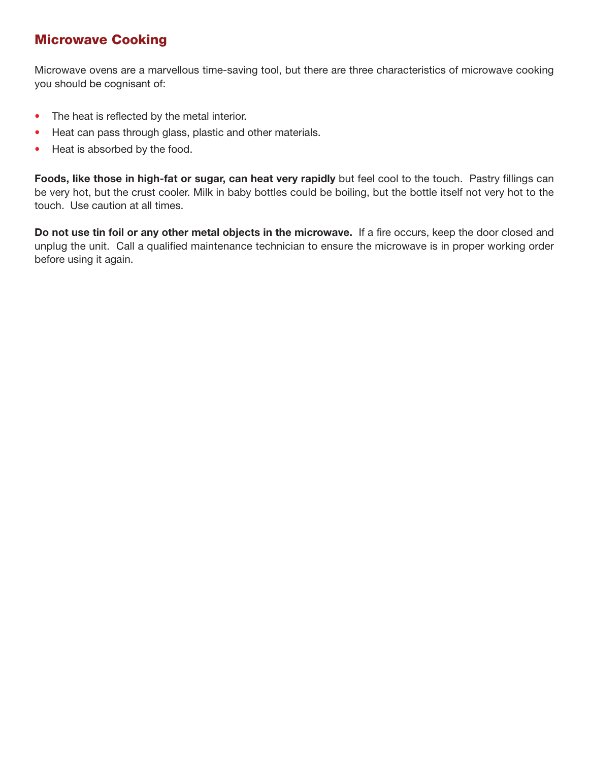### **Microwave Cooking**

Microwave ovens are a marvellous time-saving tool, but there are three characteristics of microwave cooking you should be cognisant of:

- The heat is reflected by the metal interior.
- Heat can pass through glass, plastic and other materials.
- Heat is absorbed by the food.

**Foods, like those in high-fat or sugar, can heat very rapidly** but feel cool to the touch. Pastry fillings can be very hot, but the crust cooler. Milk in baby bottles could be boiling, but the bottle itself not very hot to the touch. Use caution at all times.

**Do not use tin foil or any other metal objects in the microwave.** If a fire occurs, keep the door closed and unplug the unit. Call a qualified maintenance technician to ensure the microwave is in proper working order before using it again.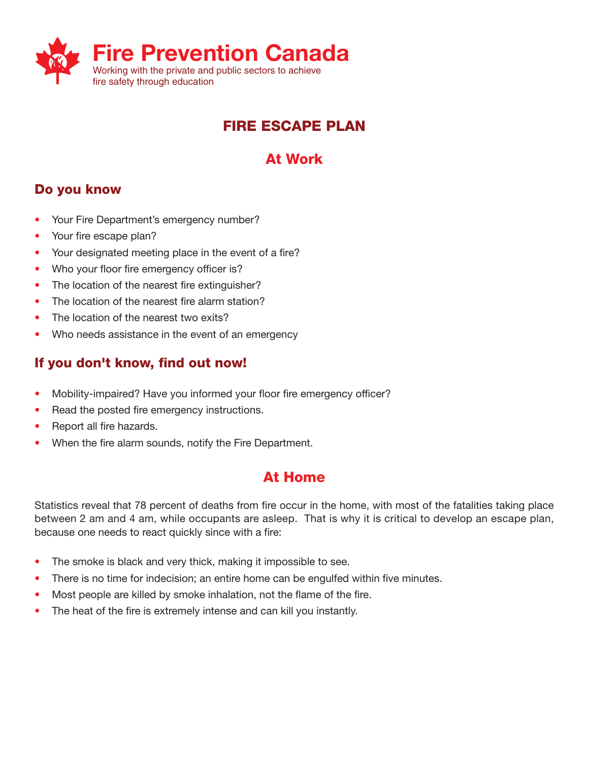

# **FIRE ESCAPE PLAN**

# **At Work**

## **Do you know**

- Your Fire Department's emergency number?
- Your fire escape plan?
- Your designated meeting place in the event of a fire?
- Who your floor fire emergency officer is?
- The location of the nearest fire extinguisher?
- The location of the nearest fire alarm station?
- The location of the nearest two exits?
- Who needs assistance in the event of an emergency

# **If you don't know, find out now!**

- Mobility-impaired? Have you informed your floor fire emergency officer?
- Read the posted fire emergency instructions.
- Report all fire hazards.
- When the fire alarm sounds, notify the Fire Department.

# **At Home**

Statistics reveal that 78 percent of deaths from fire occur in the home, with most of the fatalities taking place between 2 am and 4 am, while occupants are asleep. That is why it is critical to develop an escape plan, because one needs to react quickly since with a fire:

- The smoke is black and very thick, making it impossible to see.
- There is no time for indecision; an entire home can be engulfed within five minutes.
- Most people are killed by smoke inhalation, not the flame of the fire.
- The heat of the fire is extremely intense and can kill you instantly.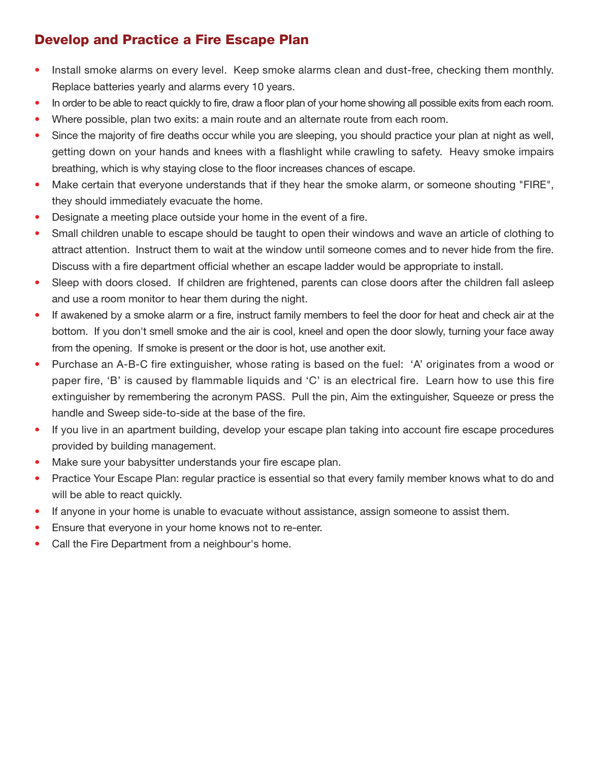# **Develop and Practice a Fire Escape Plan**

- Install smoke alarms on every level. Keep smoke alarms clean and dust-free, checking them monthly. Replace batteries yearly and alarms every 10 years.
- In order to be able to react quickly to fire, draw a floor plan of your home showing all possible exits from each room.
- Where possible, plan two exits: a main route and an alternate route from each room.
- Since the majority of fire deaths occur while you are sleeping, you should practice your plan at night as well, getting down on your hands and knees with a flashlight while crawling to safety. Heavy smoke impairs breathing, which is why staying close to the floor increases chances of escape.
- Make certain that everyone understands that if they hear the smoke alarm, or someone shouting "FIRE", they should immediately evacuate the home.
- Designate a meeting place outside your home in the event of a fire.
- Small children unable to escape should be taught to open their windows and wave an article of clothing to attract attention. Instruct them to wait at the window until someone comes and to never hide from the fire. Discuss with a fire department official whether an escape ladder would be appropriate to install.
- Sleep with doors closed. If children are frightened, parents can close doors after the children fall asleep and use a room monitor to hear them during the night.
- If awakened by a smoke alarm or a fire, instruct family members to feel the door for heat and check air at the bottom. If you don't smell smoke and the air is cool, kneel and open the door slowly, turning your face away from the opening. If smoke is present or the door is hot, use another exit.
- Purchase an A-B-C fire extinguisher, whose rating is based on the fuel: 'A' originates from a wood or paper fire, 'B' is caused by flammable liquids and 'C' is an electrical fire. Learn how to use this fire extinguisher by remembering the acronym PASS. Pull the pin, Aim the extinguisher, Squeeze or press the handle and Sweep side-to-side at the base of the fire.
- If you live in an apartment building, develop your escape plan taking into account fire escape procedures provided by building management.
- Make sure your babysitter understands your fire escape plan.
- Practice Your Escape Plan: regular practice is essential so that every family member knows what to do and will be able to react quickly.
- If anyone in your home is unable to evacuate without assistance, assign someone to assist them.
- Ensure that everyone in your home knows not to re-enter.
- Call the Fire Department from a neighbour's home.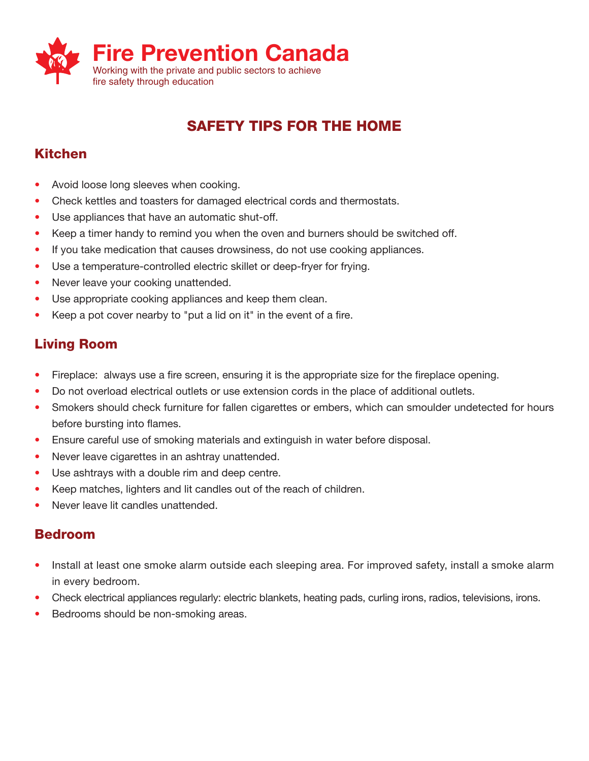

# **SAFETY TIPS FOR THE HOME**

# **Kitchen**

- Avoid loose long sleeves when cooking.
- Check kettles and toasters for damaged electrical cords and thermostats.
- Use appliances that have an automatic shut-off.
- Keep a timer handy to remind you when the oven and burners should be switched off.
- If you take medication that causes drowsiness, do not use cooking appliances.
- Use a temperature-controlled electric skillet or deep-fryer for frying.
- Never leave your cooking unattended.
- Use appropriate cooking appliances and keep them clean.
- Keep a pot cover nearby to "put a lid on it" in the event of a fire.

## **Living Room**

- Fireplace: always use a fire screen, ensuring it is the appropriate size for the fireplace opening.
- Do not overload electrical outlets or use extension cords in the place of additional outlets.
- Smokers should check furniture for fallen cigarettes or embers, which can smoulder undetected for hours before bursting into flames.
- Ensure careful use of smoking materials and extinguish in water before disposal.
- Never leave cigarettes in an ashtray unattended.
- Use ashtrays with a double rim and deep centre.
- Keep matches, lighters and lit candles out of the reach of children.
- Never leave lit candles unattended.

### **Bedroom**

- Install at least one smoke alarm outside each sleeping area. For improved safety, install a smoke alarm in every bedroom.
- Check electrical appliances regularly: electric blankets, heating pads, curling irons, radios, televisions, irons.
- Bedrooms should be non-smoking areas.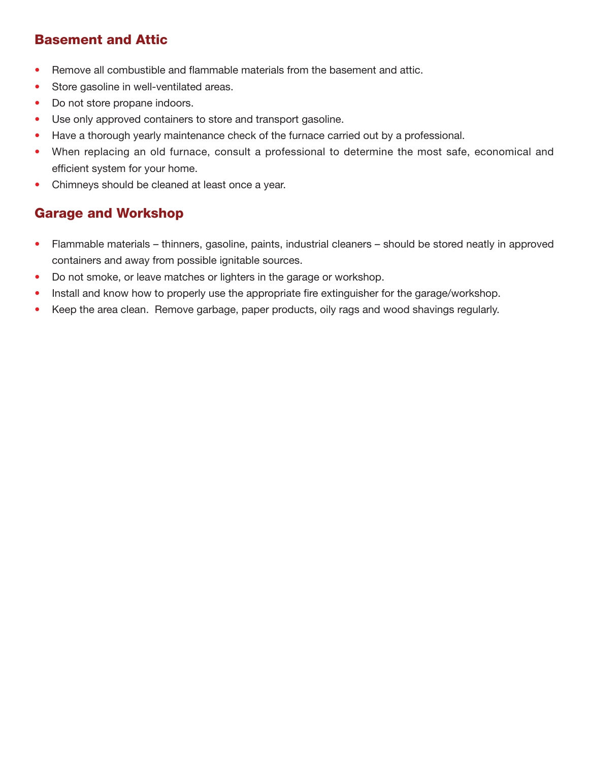## **Basement and Attic**

- Remove all combustible and flammable materials from the basement and attic.
- Store gasoline in well-ventilated areas.
- Do not store propane indoors.
- Use only approved containers to store and transport gasoline.
- Have a thorough yearly maintenance check of the furnace carried out by a professional.
- When replacing an old furnace, consult a professional to determine the most safe, economical and efficient system for your home.
- Chimneys should be cleaned at least once a year.

## **Garage and Workshop**

- Flammable materials thinners, gasoline, paints, industrial cleaners should be stored neatly in approved containers and away from possible ignitable sources.
- Do not smoke, or leave matches or lighters in the garage or workshop.
- Install and know how to properly use the appropriate fire extinguisher for the garage/workshop.
- Keep the area clean. Remove garbage, paper products, oily rags and wood shavings regularly.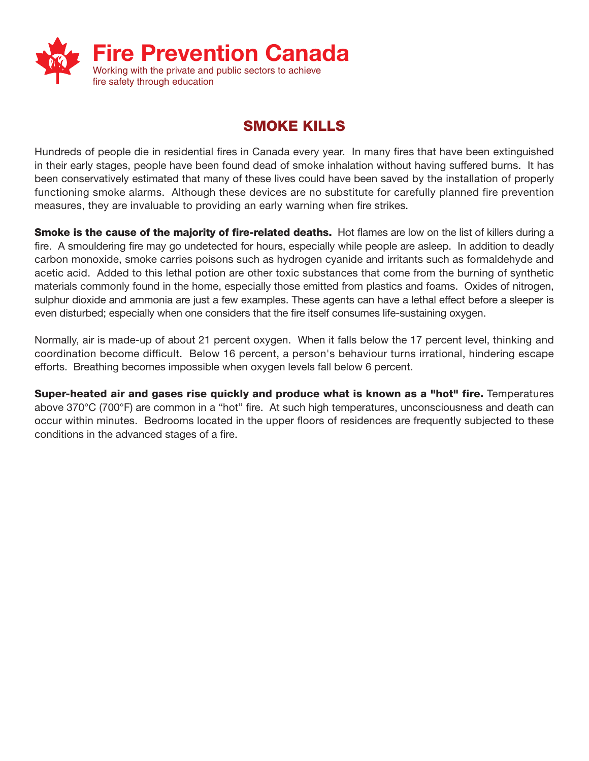

# **SMOKE KILLS**

Hundreds of people die in residential fires in Canada every year. In many fires that have been extinguished in their early stages, people have been found dead of smoke inhalation without having suffered burns. It has been conservatively estimated that many of these lives could have been saved by the installation of properly functioning smoke alarms. Although these devices are no substitute for carefully planned fire prevention measures, they are invaluable to providing an early warning when fire strikes.

**Smoke is the cause of the majority of fire-related deaths.** Hot flames are low on the list of killers during a fire. A smouldering fire may go undetected for hours, especially while people are asleep. In addition to deadly carbon monoxide, smoke carries poisons such as hydrogen cyanide and irritants such as formaldehyde and acetic acid. Added to this lethal potion are other toxic substances that come from the burning of synthetic materials commonly found in the home, especially those emitted from plastics and foams. Oxides of nitrogen, sulphur dioxide and ammonia are just a few examples. These agents can have a lethal effect before a sleeper is even disturbed; especially when one considers that the fire itself consumes life-sustaining oxygen.

Normally, air is made-up of about 21 percent oxygen. When it falls below the 17 percent level, thinking and coordination become difficult. Below 16 percent, a person's behaviour turns irrational, hindering escape efforts. Breathing becomes impossible when oxygen levels fall below 6 percent.

**Super-heated air and gases rise quickly and produce what is known as a "hot" fire.** Temperatures above 370°C (700°F) are common in a "hot" fire. At such high temperatures, unconsciousness and death can occur within minutes. Bedrooms located in the upper floors of residences are frequently subjected to these conditions in the advanced stages of a fire.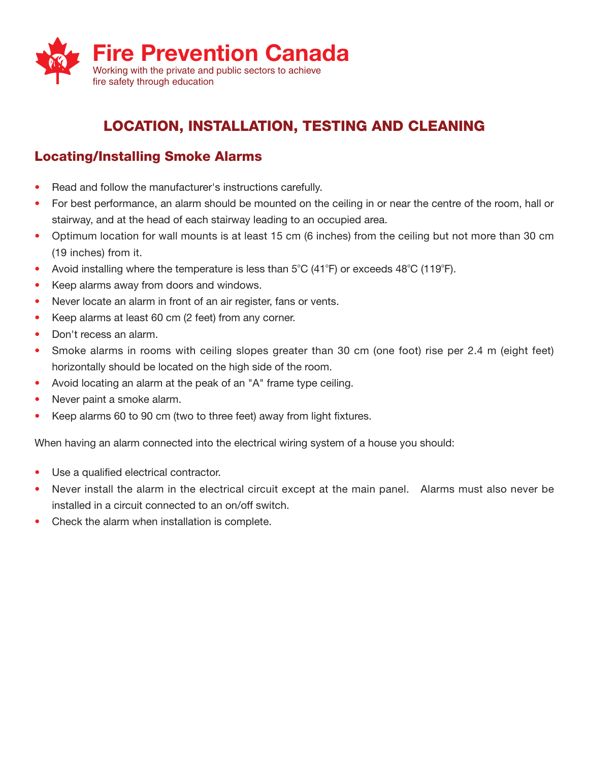

# **LOCATION, INSTALLATION, TESTING AND CLEANING**

### **Locating/Installing Smoke Alarms**

- Read and follow the manufacturer's instructions carefully.
- For best performance, an alarm should be mounted on the ceiling in or near the centre of the room, hall or stairway, and at the head of each stairway leading to an occupied area.
- Optimum location for wall mounts is at least 15 cm (6 inches) from the ceiling but not more than 30 cm (19 inches) from it.
- Avoid installing where the temperature is less than  $5^{\circ}C$  (41 $^{\circ}F$ ) or exceeds 48 $^{\circ}C$  (119 $^{\circ}F$ ).
- Keep alarms away from doors and windows.
- Never locate an alarm in front of an air register, fans or vents.
- Keep alarms at least 60 cm (2 feet) from any corner.
- Don't recess an alarm.
- Smoke alarms in rooms with ceiling slopes greater than 30 cm (one foot) rise per 2.4 m (eight feet) horizontally should be located on the high side of the room.
- Avoid locating an alarm at the peak of an "A" frame type ceiling.
- Never paint a smoke alarm.
- Keep alarms 60 to 90 cm (two to three feet) away from light fixtures.

When having an alarm connected into the electrical wiring system of a house you should:

- Use a qualified electrical contractor.
- Never install the alarm in the electrical circuit except at the main panel. Alarms must also never be installed in a circuit connected to an on/off switch.
- Check the alarm when installation is complete.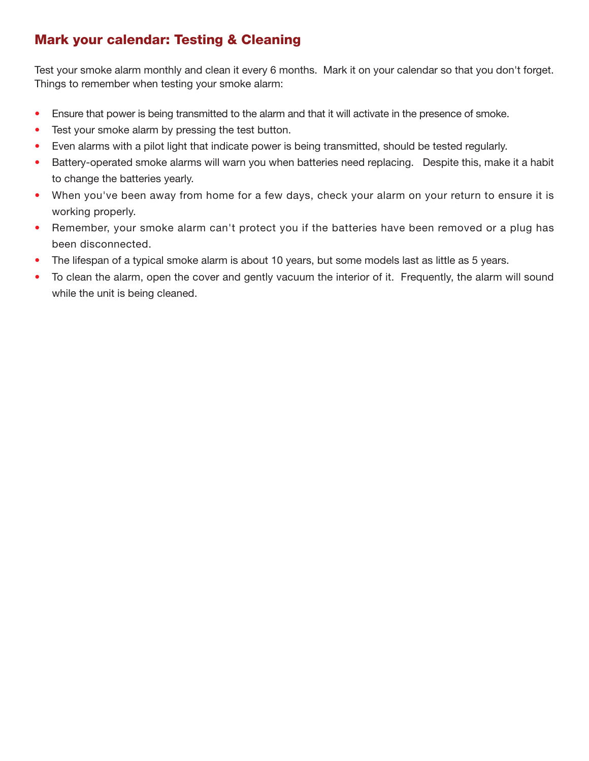## **Mark your calendar: Testing & Cleaning**

Test your smoke alarm monthly and clean it every 6 months. Mark it on your calendar so that you don't forget. Things to remember when testing your smoke alarm:

- Ensure that power is being transmitted to the alarm and that it will activate in the presence of smoke.
- Test your smoke alarm by pressing the test button.
- Even alarms with a pilot light that indicate power is being transmitted, should be tested regularly.
- Battery-operated smoke alarms will warn you when batteries need replacing. Despite this, make it a habit to change the batteries yearly.
- When you've been away from home for a few days, check your alarm on your return to ensure it is working properly.
- Remember, your smoke alarm can't protect you if the batteries have been removed or a plug has been disconnected.
- The lifespan of a typical smoke alarm is about 10 years, but some models last as little as 5 years.
- To clean the alarm, open the cover and gently vacuum the interior of it. Frequently, the alarm will sound while the unit is being cleaned.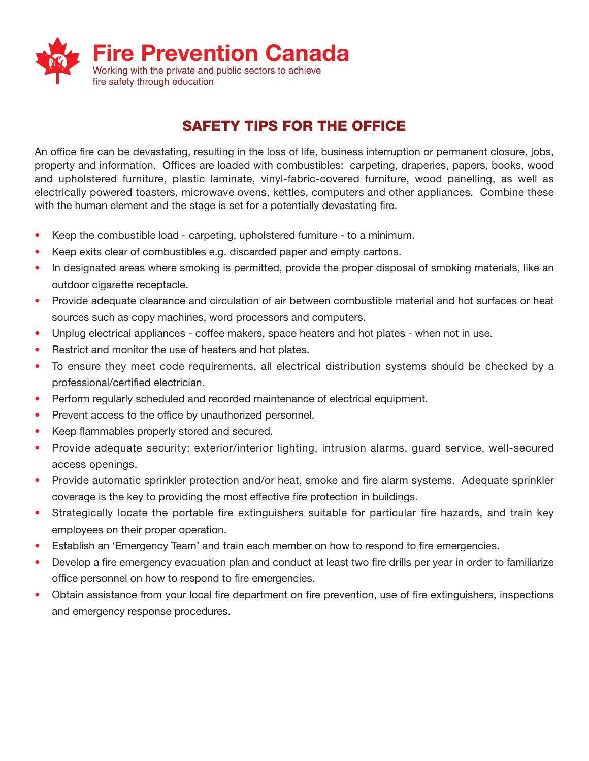

# **SAFETY TIPS FOR THE OFFICE**

An office fire can be devastating, resulting in the loss of life, business interruption or permanent closure, jobs, property and information. Offices are loaded with combustibles: carpeting, draperies, papers, books, wood and upholstered furniture, plastic laminate, vinyl-fabric-covered furniture, wood panelling, as well as electrically powered toasters, microwave ovens, kettles, computers and other appliances. Combine these with the human element and the stage is set for a potentially devastating fire.

- Keep the combustible load carpeting, upholstered furniture to a minimum.
- Keep exits clear of combustibles e.g. discarded paper and empty cartons.
- In designated areas where smoking is permitted, provide the proper disposal of smoking materials, like an outdoor cigarette receptacle.
- Provide adequate clearance and circulation of air between combustible material and hot surfaces or heat sources such as copy machines, word processors and computers.
- Unplug electrical appliances coffee makers, space heaters and hot plates when not in use.
- Restrict and monitor the use of heaters and hot plates.
- To ensure they meet code requirements, all electrical distribution systems should be checked by a professional/certified electrician.
- Perform regularly scheduled and recorded maintenance of electrical equipment.
- Prevent access to the office by unauthorized personnel.
- Keep flammables properly stored and secured.
- Provide adequate security: exterior/interior lighting, intrusion alarms, guard service, well-secured access openings.
- Provide automatic sprinkler protection and/or heat, smoke and fire alarm systems. Adequate sprinkler coverage is the key to providing the most effective fire protection in buildings.
- Strategically locate the portable fire extinguishers suitable for particular fire hazards, and train key employees on their proper operation.
- Establish an 'Emergency Team' and train each member on how to respond to fire emergencies.
- Develop a fire emergency evacuation plan and conduct at least two fire drills per year in order to familiarize office personnel on how to respond to fire emergencies.
- Obtain assistance from your local fire department on fire prevention, use of fire extinguishers, inspections and emergency response procedures.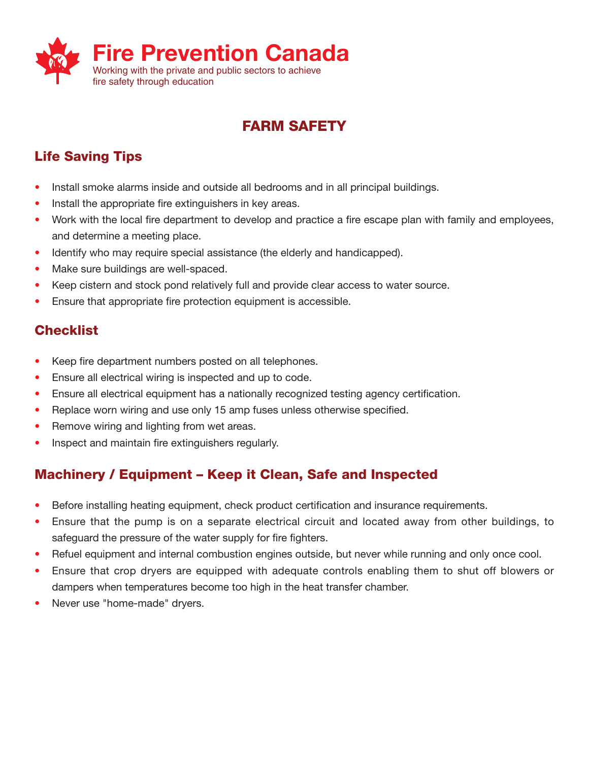

# **FARM SAFETY**

# **Life Saving Tips**

- Install smoke alarms inside and outside all bedrooms and in all principal buildings.
- Install the appropriate fire extinguishers in key areas.
- Work with the local fire department to develop and practice a fire escape plan with family and employees, and determine a meeting place.
- Identify who may require special assistance (the elderly and handicapped).
- Make sure buildings are well-spaced.
- Keep cistern and stock pond relatively full and provide clear access to water source.
- Ensure that appropriate fire protection equipment is accessible.

## **Checklist**

- Keep fire department numbers posted on all telephones.
- Ensure all electrical wiring is inspected and up to code.
- Ensure all electrical equipment has a nationally recognized testing agency certification.
- Replace worn wiring and use only 15 amp fuses unless otherwise specified.
- Remove wiring and lighting from wet areas.
- Inspect and maintain fire extinguishers regularly.

# **Machinery / Equipment – Keep it Clean, Safe and Inspected**

- Before installing heating equipment, check product certification and insurance requirements.
- Ensure that the pump is on a separate electrical circuit and located away from other buildings, to safeguard the pressure of the water supply for fire fighters.
- Refuel equipment and internal combustion engines outside, but never while running and only once cool.
- Ensure that crop dryers are equipped with adequate controls enabling them to shut off blowers or dampers when temperatures become too high in the heat transfer chamber.
- Never use "home-made" dryers.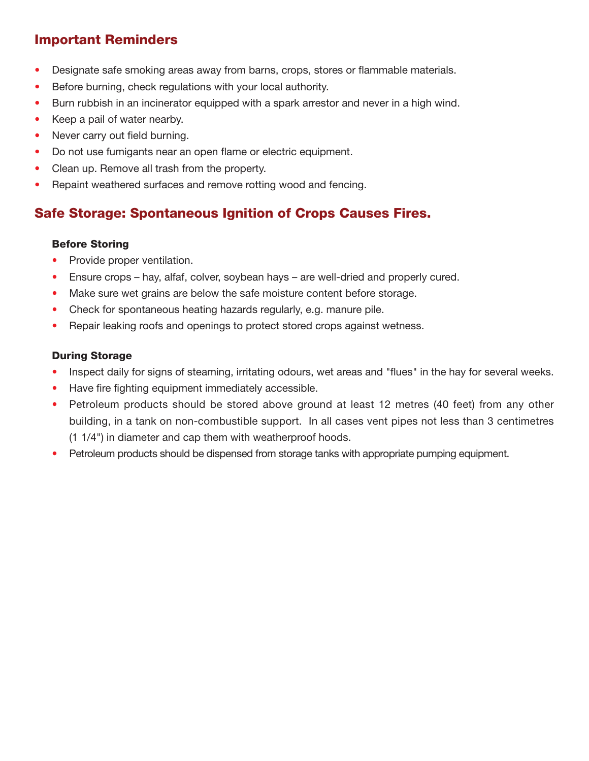## **Important Reminders**

- Designate safe smoking areas away from barns, crops, stores or flammable materials.
- Before burning, check regulations with your local authority.
- Burn rubbish in an incinerator equipped with a spark arrestor and never in a high wind.
- Keep a pail of water nearby.
- Never carry out field burning.
- Do not use fumigants near an open flame or electric equipment.
- Clean up. Remove all trash from the property.
- Repaint weathered surfaces and remove rotting wood and fencing.

## **Safe Storage: Spontaneous Ignition of Crops Causes Fires.**

#### **Before Storing**

- Provide proper ventilation.
- Ensure crops hay, alfaf, colver, soybean hays are well-dried and properly cured.
- Make sure wet grains are below the safe moisture content before storage.
- Check for spontaneous heating hazards regularly, e.g. manure pile.
- Repair leaking roofs and openings to protect stored crops against wetness.

#### **During Storage**

- Inspect daily for signs of steaming, irritating odours, wet areas and "flues" in the hay for several weeks.
- Have fire fighting equipment immediately accessible.
- Petroleum products should be stored above ground at least 12 metres (40 feet) from any other building, in a tank on non-combustible support. In all cases vent pipes not less than 3 centimetres (1 1/4") in diameter and cap them with weatherproof hoods.
- Petroleum products should be dispensed from storage tanks with appropriate pumping equipment.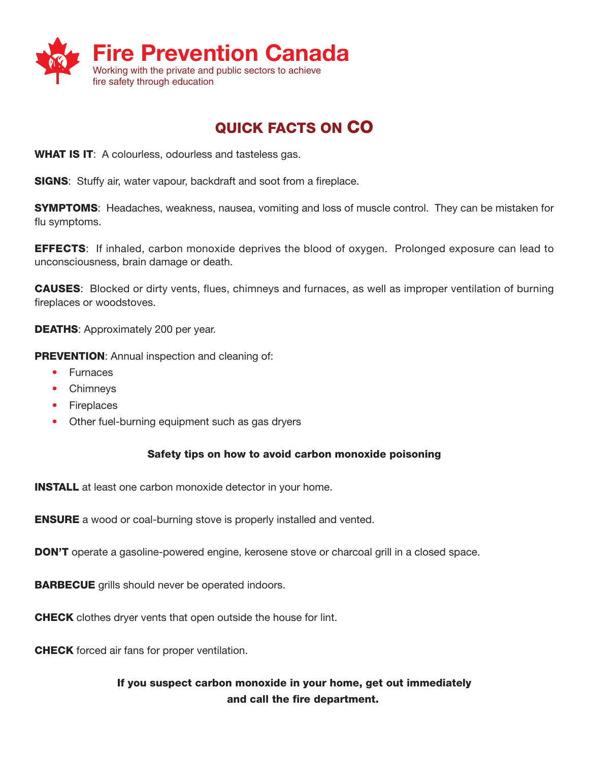

# **QUICK FACTS ON CO**

**WHAT IS IT**: A colourless, odourless and tasteless gas.

**SIGNS**: Stuffy air, water vapour, backdraft and soot from a fireplace.

**SYMPTOMS**: Headaches, weakness, nausea, vomiting and loss of muscle control. They can be mistaken for flu symptoms.

**EFFECTS**: If inhaled, carbon monoxide deprives the blood of oxygen. Prolonged exposure can lead to unconsciousness, brain damage or death.

**CAUSES**: Blocked or dirty vents, flues, chimneys and furnaces, as well as improper ventilation of burning fireplaces or woodstoves.

**DEATHS: Approximately 200 per year.** 

**PREVENTION:** Annual inspection and cleaning of:

- Furnaces
- Chimneys
- Fireplaces
- Other fuel-burning equipment such as gas dryers

#### **Safety tips on how to avoid carbon monoxide poisoning**

**INSTALL** at least one carbon monoxide detector in your home.

**ENSURE** a wood or coal-burning stove is properly installed and vented.

**DON'T** operate a gasoline-powered engine, kerosene stove or charcoal grill in a closed space.

**BARBECUE** grills should never be operated indoors.

**CHECK** clothes dryer vents that open outside the house for lint.

**CHECK** forced air fans for proper ventilation.

#### **If you suspect carbon monoxide in your home, get out immediately and call the fire department.**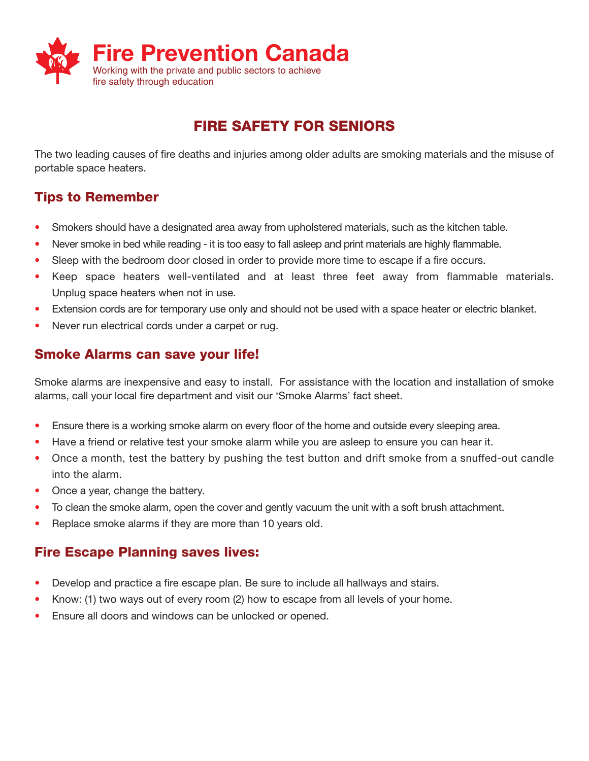

# **FIRE SAFETY FOR SENIORS**

The two leading causes of fire deaths and injuries among older adults are smoking materials and the misuse of portable space heaters.

## **Tips to Remember**

- Smokers should have a designated area away from upholstered materials, such as the kitchen table.
- Never smoke in bed while reading it is too easy to fall asleep and print materials are highly flammable.
- Sleep with the bedroom door closed in order to provide more time to escape if a fire occurs.
- Keep space heaters well-ventilated and at least three feet away from flammable materials. Unplug space heaters when not in use.
- Extension cords are for temporary use only and should not be used with a space heater or electric blanket.
- Never run electrical cords under a carpet or rug.

#### **Smoke Alarms can save your life!**

Smoke alarms are inexpensive and easy to install. For assistance with the location and installation of smoke alarms, call your local fire department and visit our 'Smoke Alarms' fact sheet.

- Ensure there is a working smoke alarm on every floor of the home and outside every sleeping area.
- Have a friend or relative test your smoke alarm while you are asleep to ensure you can hear it.
- Once a month, test the battery by pushing the test button and drift smoke from a snuffed-out candle into the alarm.
- Once a year, change the battery.
- To clean the smoke alarm, open the cover and gently vacuum the unit with a soft brush attachment.
- Replace smoke alarms if they are more than 10 years old.

### **Fire Escape Planning saves lives:**

- Develop and practice a fire escape plan. Be sure to include all hallways and stairs.
- Know: (1) two ways out of every room (2) how to escape from all levels of your home.
- Ensure all doors and windows can be unlocked or opened.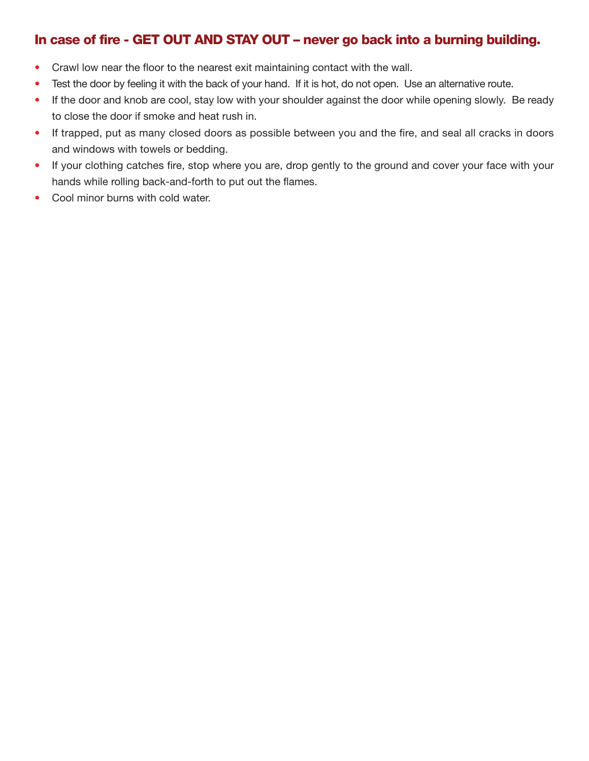### **In case of fire - GET OUT AND STAY OUT – never go back into a burning building.**

- Crawl low near the floor to the nearest exit maintaining contact with the wall.
- Test the door by feeling it with the back of your hand. If it is hot, do not open. Use an alternative route.
- If the door and knob are cool, stay low with your shoulder against the door while opening slowly. Be ready to close the door if smoke and heat rush in.
- If trapped, put as many closed doors as possible between you and the fire, and seal all cracks in doors and windows with towels or bedding.
- If your clothing catches fire, stop where you are, drop gently to the ground and cover your face with your hands while rolling back-and-forth to put out the flames.
- Cool minor burns with cold water.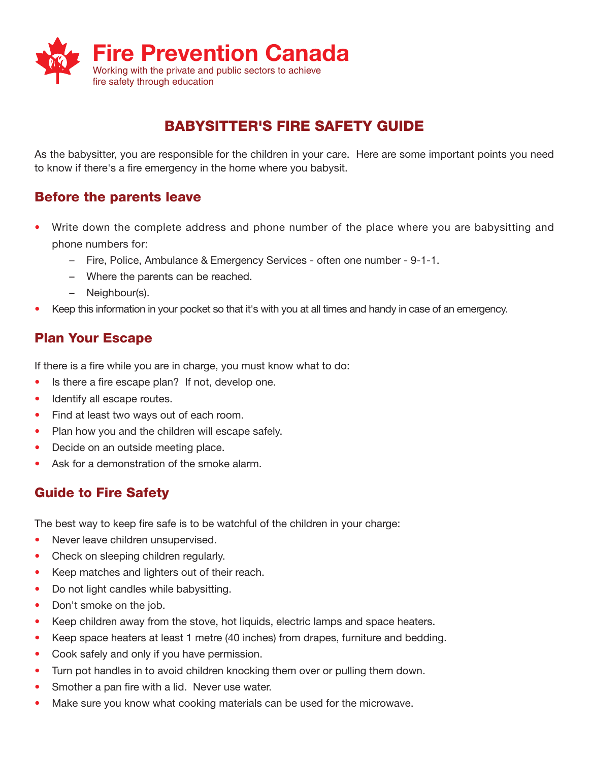

# **BABYSITTER'S FIRE SAFETY GUIDE**

As the babysitter, you are responsible for the children in your care. Here are some important points you need to know if there's a fire emergency in the home where you babysit.

### **Before the parents leave**

- Write down the complete address and phone number of the place where you are babysitting and phone numbers for:
	- Fire, Police, Ambulance & Emergency Services often one number 9-1-1.
	- Where the parents can be reached.
	- Neighbour(s).
- Keep this information in your pocket so that it's with you at all times and handy in case of an emergency.

### **Plan Your Escape**

If there is a fire while you are in charge, you must know what to do:

- Is there a fire escape plan? If not, develop one.
- Identify all escape routes.
- Find at least two ways out of each room.
- Plan how you and the children will escape safely.
- Decide on an outside meeting place.
- Ask for a demonstration of the smoke alarm.

## **Guide to Fire Safety**

The best way to keep fire safe is to be watchful of the children in your charge:

- Never leave children unsupervised.
- Check on sleeping children regularly.
- Keep matches and lighters out of their reach.
- Do not light candles while babysitting.
- Don't smoke on the job.
- Keep children away from the stove, hot liquids, electric lamps and space heaters.
- Keep space heaters at least 1 metre (40 inches) from drapes, furniture and bedding.
- Cook safely and only if you have permission.
- Turn pot handles in to avoid children knocking them over or pulling them down.
- Smother a pan fire with a lid. Never use water.
- Make sure you know what cooking materials can be used for the microwave.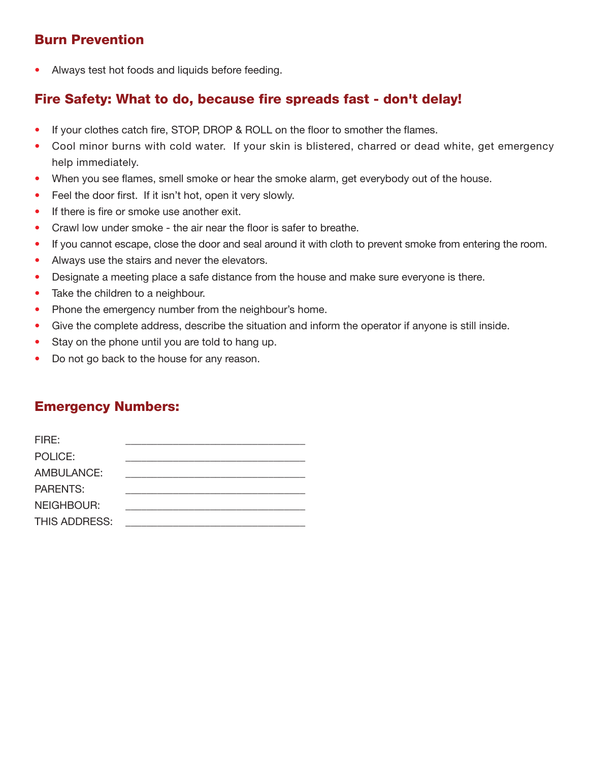## **Burn Prevention**

• Always test hot foods and liquids before feeding.

## **Fire Safety: What to do, because fire spreads fast - don't delay!**

- If your clothes catch fire, STOP, DROP & ROLL on the floor to smother the flames.
- Cool minor burns with cold water. If your skin is blistered, charred or dead white, get emergency help immediately.
- When you see flames, smell smoke or hear the smoke alarm, get everybody out of the house.
- Feel the door first. If it isn't hot, open it very slowly.
- If there is fire or smoke use another exit.
- Crawl low under smoke the air near the floor is safer to breathe.
- If you cannot escape, close the door and seal around it with cloth to prevent smoke from entering the room.
- Always use the stairs and never the elevators.
- Designate a meeting place a safe distance from the house and make sure everyone is there.
- Take the children to a neighbour.
- Phone the emergency number from the neighbour's home.
- Give the complete address, describe the situation and inform the operator if anyone is still inside.
- Stay on the phone until you are told to hang up.
- Do not go back to the house for any reason.

## **Emergency Numbers:**

| FIRE:             |  |
|-------------------|--|
| POLICE:           |  |
| <b>AMBULANCE:</b> |  |
| <b>PARENTS:</b>   |  |
| <b>NEIGHBOUR:</b> |  |
| THIS ADDRESS:     |  |
|                   |  |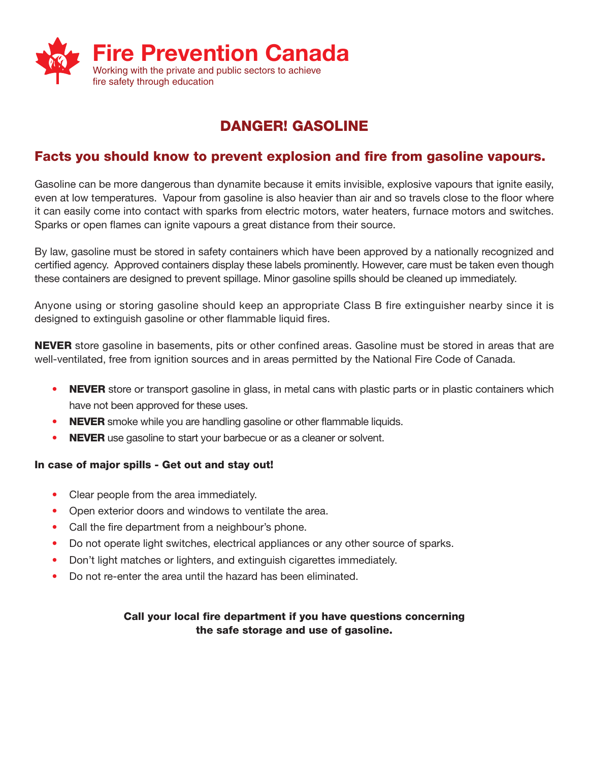

# **DANGER! GASOLINE**

### **Facts you should know to prevent explosion and fire from gasoline vapours.**

Gasoline can be more dangerous than dynamite because it emits invisible, explosive vapours that ignite easily, even at low temperatures. Vapour from gasoline is also heavier than air and so travels close to the floor where it can easily come into contact with sparks from electric motors, water heaters, furnace motors and switches. Sparks or open flames can ignite vapours a great distance from their source.

By law, gasoline must be stored in safety containers which have been approved by a nationally recognized and certified agency. Approved containers display these labels prominently. However, care must be taken even though these containers are designed to prevent spillage. Minor gasoline spills should be cleaned up immediately.

Anyone using or storing gasoline should keep an appropriate Class B fire extinguisher nearby since it is designed to extinguish gasoline or other flammable liquid fires.

**NEVER** store gasoline in basements, pits or other confined areas. Gasoline must be stored in areas that are well-ventilated, free from ignition sources and in areas permitted by the National Fire Code of Canada.

- **NEVER** store or transport gasoline in glass, in metal cans with plastic parts or in plastic containers which have not been approved for these uses.
- **NEVER** smoke while you are handling gasoline or other flammable liquids.
- **NEVER** use gasoline to start your barbecue or as a cleaner or solvent.

#### **In case of major spills - Get out and stay out!**

- Clear people from the area immediately.
- Open exterior doors and windows to ventilate the area.
- Call the fire department from a neighbour's phone.
- Do not operate light switches, electrical appliances or any other source of sparks.
- Don't light matches or lighters, and extinguish cigarettes immediately.
- Do not re-enter the area until the hazard has been eliminated.

#### **Call your local fire department if you have questions concerning the safe storage and use of gasoline.**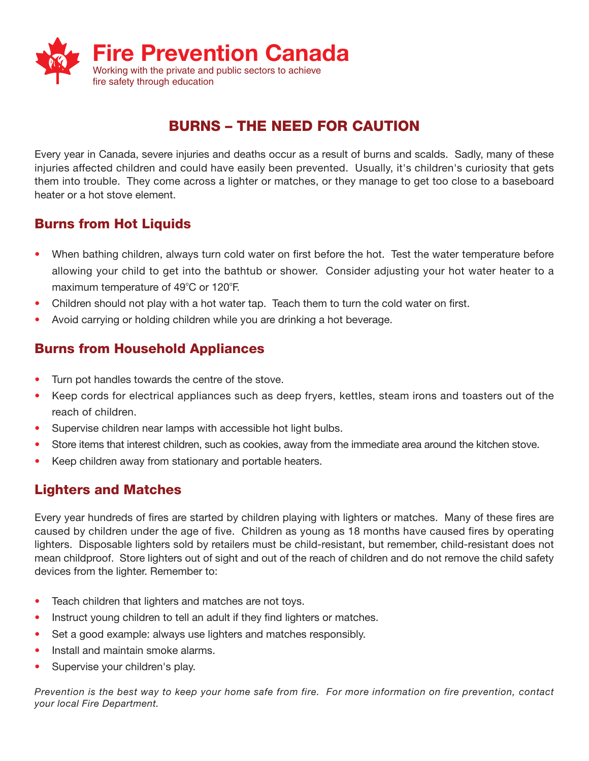

# **BURNS – THE NEED FOR CAUTION**

Every year in Canada, severe injuries and deaths occur as a result of burns and scalds. Sadly, many of these injuries affected children and could have easily been prevented. Usually, it's children's curiosity that gets them into trouble. They come across a lighter or matches, or they manage to get too close to a baseboard heater or a hot stove element.

### **Burns from Hot Liquids**

- When bathing children, always turn cold water on first before the hot. Test the water temperature before allowing your child to get into the bathtub or shower. Consider adjusting your hot water heater to a maximum temperature of 49°C or 120°F.
- Children should not play with a hot water tap. Teach them to turn the cold water on first.
- Avoid carrying or holding children while you are drinking a hot beverage.

### **Burns from Household Appliances**

- Turn pot handles towards the centre of the stove.
- Keep cords for electrical appliances such as deep fryers, kettles, steam irons and toasters out of the reach of children.
- Supervise children near lamps with accessible hot light bulbs.
- Store items that interest children, such as cookies, away from the immediate area around the kitchen stove.
- Keep children away from stationary and portable heaters.

### **Lighters and Matches**

Every year hundreds of fires are started by children playing with lighters or matches. Many of these fires are caused by children under the age of five. Children as young as 18 months have caused fires by operating lighters. Disposable lighters sold by retailers must be child-resistant, but remember, child-resistant does not mean childproof. Store lighters out of sight and out of the reach of children and do not remove the child safety devices from the lighter. Remember to:

- Teach children that lighters and matches are not toys.
- Instruct young children to tell an adult if they find lighters or matches.
- Set a good example: always use lighters and matches responsibly.
- Install and maintain smoke alarms.
- Supervise your children's play.

*Prevention is the best way to keep your home safe from fire. For more information on fire prevention, contact your local Fire Department.*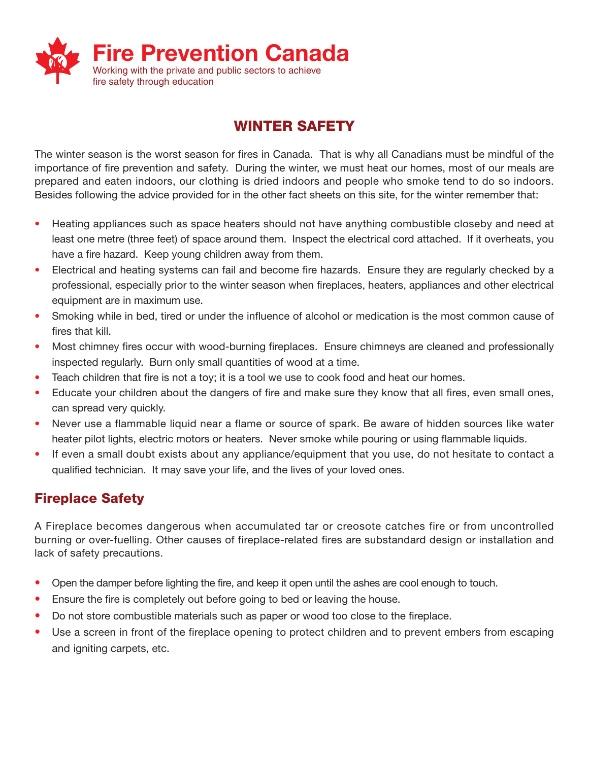

# **WINTER SAFETY**

The winter season is the worst season for fires in Canada. That is why all Canadians must be mindful of the importance of fire prevention and safety. During the winter, we must heat our homes, most of our meals are prepared and eaten indoors, our clothing is dried indoors and people who smoke tend to do so indoors. Besides following the advice provided for in the other fact sheets on this site, for the winter remember that:

- Heating appliances such as space heaters should not have anything combustible closeby and need at least one metre (three feet) of space around them. Inspect the electrical cord attached. If it overheats, you have a fire hazard. Keep young children away from them.
- Electrical and heating systems can fail and become fire hazards. Ensure they are regularly checked by a professional, especially prior to the winter season when fireplaces, heaters, appliances and other electrical equipment are in maximum use.
- Smoking while in bed, tired or under the influence of alcohol or medication is the most common cause of fires that kill.
- Most chimney fires occur with wood-burning fireplaces. Ensure chimneys are cleaned and professionally inspected regularly. Burn only small quantities of wood at a time.
- Teach children that fire is not a toy; it is a tool we use to cook food and heat our homes.
- Educate your children about the dangers of fire and make sure they know that all fires, even small ones, can spread very quickly.
- Never use a flammable liquid near a flame or source of spark. Be aware of hidden sources like water heater pilot lights, electric motors or heaters. Never smoke while pouring or using flammable liquids.
- If even a small doubt exists about any appliance/equipment that you use, do not hesitate to contact a qualified technician. It may save your life, and the lives of your loved ones.

# **Fireplace Safety**

A Fireplace becomes dangerous when accumulated tar or creosote catches fire or from uncontrolled burning or over-fuelling. Other causes of fireplace-related fires are substandard design or installation and lack of safety precautions.

- Open the damper before lighting the fire, and keep it open until the ashes are cool enough to touch.
- Ensure the fire is completely out before going to bed or leaving the house.
- Do not store combustible materials such as paper or wood too close to the fireplace.
- Use a screen in front of the fireplace opening to protect children and to prevent embers from escaping and igniting carpets, etc.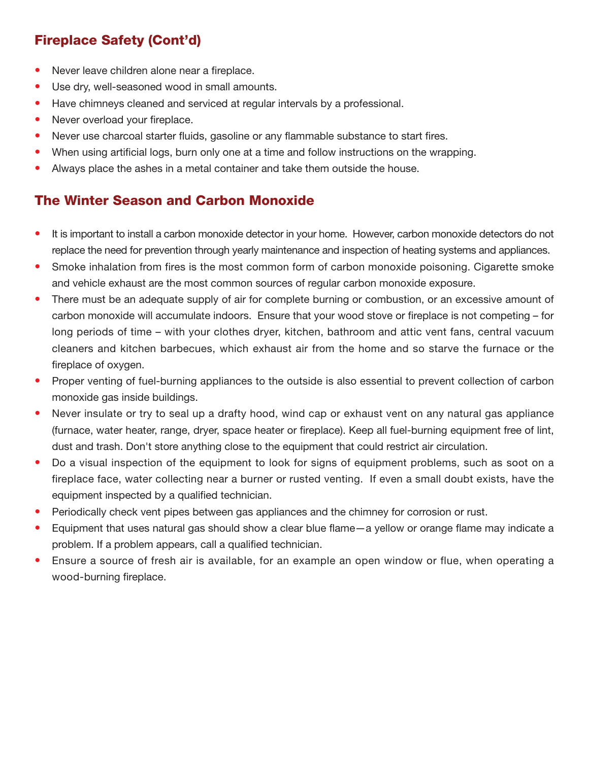# **Fireplace Safety (Cont'd)**

- Never leave children alone near a fireplace.
- Use dry, well-seasoned wood in small amounts.
- Have chimneys cleaned and serviced at regular intervals by a professional.
- Never overload your fireplace.
- Never use charcoal starter fluids, gasoline or any flammable substance to start fires.
- When using artificial logs, burn only one at a time and follow instructions on the wrapping.
- Always place the ashes in a metal container and take them outside the house.

# **The Winter Season and Carbon Monoxide**

- It is important to install a carbon monoxide detector in your home. However, carbon monoxide detectors do not replace the need for prevention through yearly maintenance and inspection of heating systems and appliances.
- Smoke inhalation from fires is the most common form of carbon monoxide poisoning. Cigarette smoke and vehicle exhaust are the most common sources of regular carbon monoxide exposure.
- There must be an adequate supply of air for complete burning or combustion, or an excessive amount of carbon monoxide will accumulate indoors. Ensure that your wood stove or fireplace is not competing – for long periods of time – with your clothes dryer, kitchen, bathroom and attic vent fans, central vacuum cleaners and kitchen barbecues, which exhaust air from the home and so starve the furnace or the fireplace of oxygen.
- Proper venting of fuel-burning appliances to the outside is also essential to prevent collection of carbon monoxide gas inside buildings.
- Never insulate or try to seal up a drafty hood, wind cap or exhaust vent on any natural gas appliance (furnace, water heater, range, dryer, space heater or fireplace). Keep all fuel-burning equipment free of lint, dust and trash. Don't store anything close to the equipment that could restrict air circulation.
- Do a visual inspection of the equipment to look for signs of equipment problems, such as soot on a fireplace face, water collecting near a burner or rusted venting. If even a small doubt exists, have the equipment inspected by a qualified technician.
- Periodically check vent pipes between gas appliances and the chimney for corrosion or rust.
- Equipment that uses natural gas should show a clear blue flame—a yellow or orange flame may indicate a problem. If a problem appears, call a qualified technician.
- Ensure a source of fresh air is available, for an example an open window or flue, when operating a wood-burning fireplace.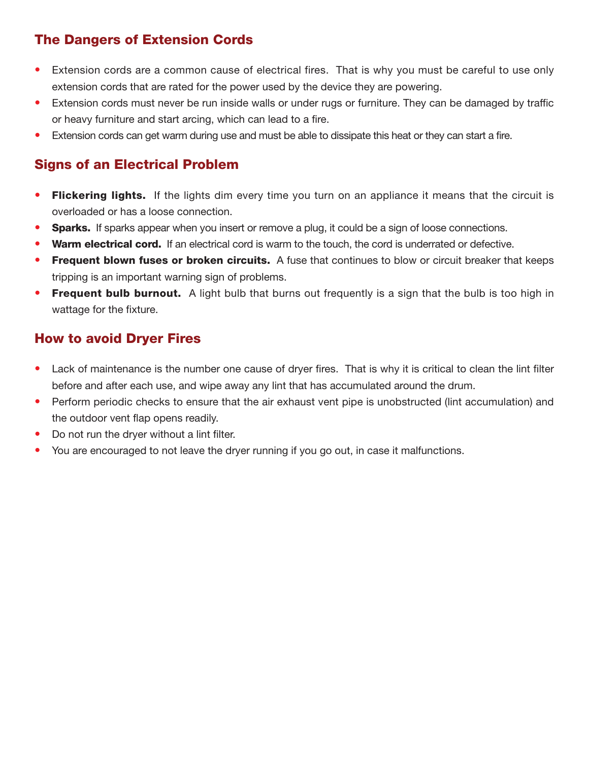### **The Dangers of Extension Cords**

- Extension cords are a common cause of electrical fires. That is why you must be careful to use only extension cords that are rated for the power used by the device they are powering.
- Extension cords must never be run inside walls or under rugs or furniture. They can be damaged by traffic or heavy furniture and start arcing, which can lead to a fire.
- Extension cords can get warm during use and must be able to dissipate this heat or they can start a fire.

## **Signs of an Electrical Problem**

- **Flickering lights.** If the lights dim every time you turn on an appliance it means that the circuit is overloaded or has a loose connection.
- **Sparks.** If sparks appear when you insert or remove a plug, it could be a sign of loose connections.
- **Warm electrical cord.** If an electrical cord is warm to the touch, the cord is underrated or defective.
- **Frequent blown fuses or broken circuits.** A fuse that continues to blow or circuit breaker that keeps tripping is an important warning sign of problems.
- **Frequent bulb burnout.** A light bulb that burns out frequently is a sign that the bulb is too high in wattage for the fixture.

### **How to avoid Dryer Fires**

- Lack of maintenance is the number one cause of dryer fires. That is why it is critical to clean the lint filter before and after each use, and wipe away any lint that has accumulated around the drum.
- Perform periodic checks to ensure that the air exhaust vent pipe is unobstructed (lint accumulation) and the outdoor vent flap opens readily.
- Do not run the dryer without a lint filter.
- You are encouraged to not leave the dryer running if you go out, in case it malfunctions.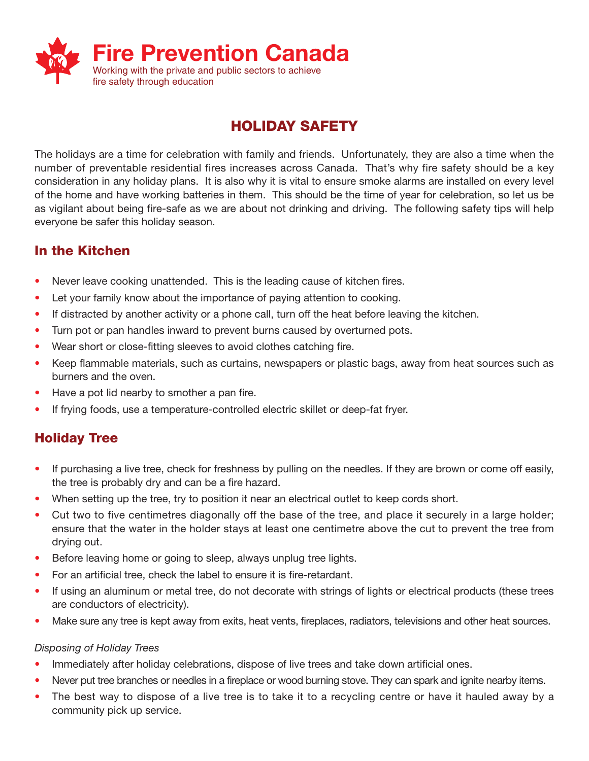

# **HOLIDAY SAFETY**

The holidays are a time for celebration with family and friends. Unfortunately, they are also a time when the number of preventable residential fires increases across Canada. That's why fire safety should be a key consideration in any holiday plans. It is also why it is vital to ensure smoke alarms are installed on every level of the home and have working batteries in them. This should be the time of year for celebration, so let us be as vigilant about being fire-safe as we are about not drinking and driving. The following safety tips will help everyone be safer this holiday season.

## **In the Kitchen**

- Never leave cooking unattended. This is the leading cause of kitchen fires.
- Let your family know about the importance of paying attention to cooking.
- If distracted by another activity or a phone call, turn off the heat before leaving the kitchen.
- Turn pot or pan handles inward to prevent burns caused by overturned pots.
- Wear short or close-fitting sleeves to avoid clothes catching fire.
- Keep flammable materials, such as curtains, newspapers or plastic bags, away from heat sources such as burners and the oven.
- Have a pot lid nearby to smother a pan fire.
- If frying foods, use a temperature-controlled electric skillet or deep-fat fryer.

# **Holiday Tree**

- If purchasing a live tree, check for freshness by pulling on the needles. If they are brown or come off easily, the tree is probably dry and can be a fire hazard.
- When setting up the tree, try to position it near an electrical outlet to keep cords short.
- Cut two to five centimetres diagonally off the base of the tree, and place it securely in a large holder; ensure that the water in the holder stays at least one centimetre above the cut to prevent the tree from drying out.
- Before leaving home or going to sleep, always unplug tree lights.
- For an artificial tree, check the label to ensure it is fire-retardant.
- If using an aluminum or metal tree, do not decorate with strings of lights or electrical products (these trees are conductors of electricity).
- Make sure any tree is kept away from exits, heat vents, fireplaces, radiators, televisions and other heat sources.

#### *Disposing of Holiday Trees*

- Immediately after holiday celebrations, dispose of live trees and take down artificial ones.
- Never put tree branches or needles in a fireplace or wood burning stove. They can spark and ignite nearby items.
- The best way to dispose of a live tree is to take it to a recycling centre or have it hauled away by a community pick up service.